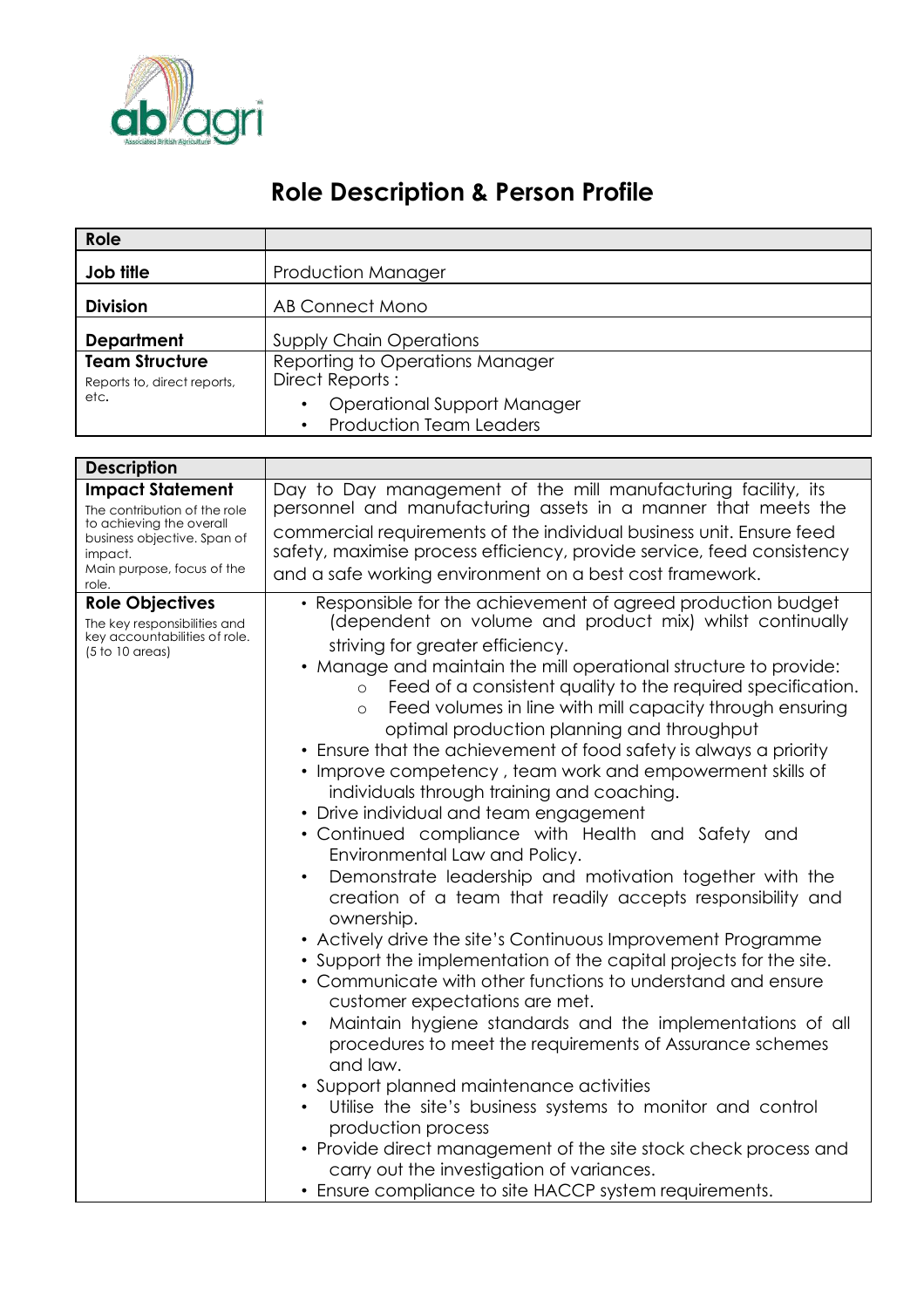

## **Role Description & Person Profile**

| Role                                                                                                                                                                                       |                                                                                                                                                                                                                                                                                                                                                                                                                                                                                                                                                                                                                                                                                                                                                                                                                                                                                                                                                                                                                                                                                                                                                                                                                                                                                                                                                                                                                                                                                                                                                                                                         |
|--------------------------------------------------------------------------------------------------------------------------------------------------------------------------------------------|---------------------------------------------------------------------------------------------------------------------------------------------------------------------------------------------------------------------------------------------------------------------------------------------------------------------------------------------------------------------------------------------------------------------------------------------------------------------------------------------------------------------------------------------------------------------------------------------------------------------------------------------------------------------------------------------------------------------------------------------------------------------------------------------------------------------------------------------------------------------------------------------------------------------------------------------------------------------------------------------------------------------------------------------------------------------------------------------------------------------------------------------------------------------------------------------------------------------------------------------------------------------------------------------------------------------------------------------------------------------------------------------------------------------------------------------------------------------------------------------------------------------------------------------------------------------------------------------------------|
| Job title                                                                                                                                                                                  | <b>Production Manager</b>                                                                                                                                                                                                                                                                                                                                                                                                                                                                                                                                                                                                                                                                                                                                                                                                                                                                                                                                                                                                                                                                                                                                                                                                                                                                                                                                                                                                                                                                                                                                                                               |
| <b>Division</b>                                                                                                                                                                            | <b>AB Connect Mono</b>                                                                                                                                                                                                                                                                                                                                                                                                                                                                                                                                                                                                                                                                                                                                                                                                                                                                                                                                                                                                                                                                                                                                                                                                                                                                                                                                                                                                                                                                                                                                                                                  |
| <b>Department</b><br><b>Team Structure</b><br>Reports to, direct reports,<br>etc.                                                                                                          | <b>Supply Chain Operations</b><br>Reporting to Operations Manager<br>Direct Reports:<br><b>Operational Support Manager</b><br><b>Production Team Leaders</b>                                                                                                                                                                                                                                                                                                                                                                                                                                                                                                                                                                                                                                                                                                                                                                                                                                                                                                                                                                                                                                                                                                                                                                                                                                                                                                                                                                                                                                            |
|                                                                                                                                                                                            |                                                                                                                                                                                                                                                                                                                                                                                                                                                                                                                                                                                                                                                                                                                                                                                                                                                                                                                                                                                                                                                                                                                                                                                                                                                                                                                                                                                                                                                                                                                                                                                                         |
| <b>Description</b><br><b>Impact Statement</b><br>The contribution of the role<br>to achieving the overall<br>business objective. Span of<br>impact.<br>Main purpose, focus of the<br>role. | Day to Day management of the mill manufacturing facility, its<br>personnel and manufacturing assets in a manner that meets the<br>commercial requirements of the individual business unit. Ensure feed<br>safety, maximise process efficiency, provide service, feed consistency<br>and a safe working environment on a best cost framework.                                                                                                                                                                                                                                                                                                                                                                                                                                                                                                                                                                                                                                                                                                                                                                                                                                                                                                                                                                                                                                                                                                                                                                                                                                                            |
| <b>Role Objectives</b><br>The key responsibilities and<br>key accountabilities of role.<br>$(5 to 10$ areas)                                                                               | • Responsible for the achievement of agreed production budget<br>(dependent on volume and product mix) whilst continually<br>striving for greater efficiency.<br>• Manage and maintain the mill operational structure to provide:<br>Feed of a consistent quality to the required specification.<br>$\circ$<br>Feed volumes in line with mill capacity through ensuring<br>$\circ$<br>optimal production planning and throughput<br>• Ensure that the achievement of food safety is always a priority<br>• Improve competency, team work and empowerment skills of<br>individuals through training and coaching.<br>• Drive individual and team engagement<br>• Continued compliance with Health and Safety and<br>Environmental Law and Policy.<br>Demonstrate leadership and motivation together with the<br>$\bullet$<br>creation of a team that readily accepts responsibility and<br>ownership.<br>• Actively drive the site's Continuous Improvement Programme<br>• Support the implementation of the capital projects for the site.<br>• Communicate with other functions to understand and ensure<br>customer expectations are met.<br>Maintain hygiene standards and the implementations of all<br>$\bullet$<br>procedures to meet the requirements of Assurance schemes<br>and law.<br>• Support planned maintenance activities<br>Utilise the site's business systems to monitor and control<br>production process<br>• Provide direct management of the site stock check process and<br>carry out the investigation of variances.<br>• Ensure compliance to site HACCP system requirements. |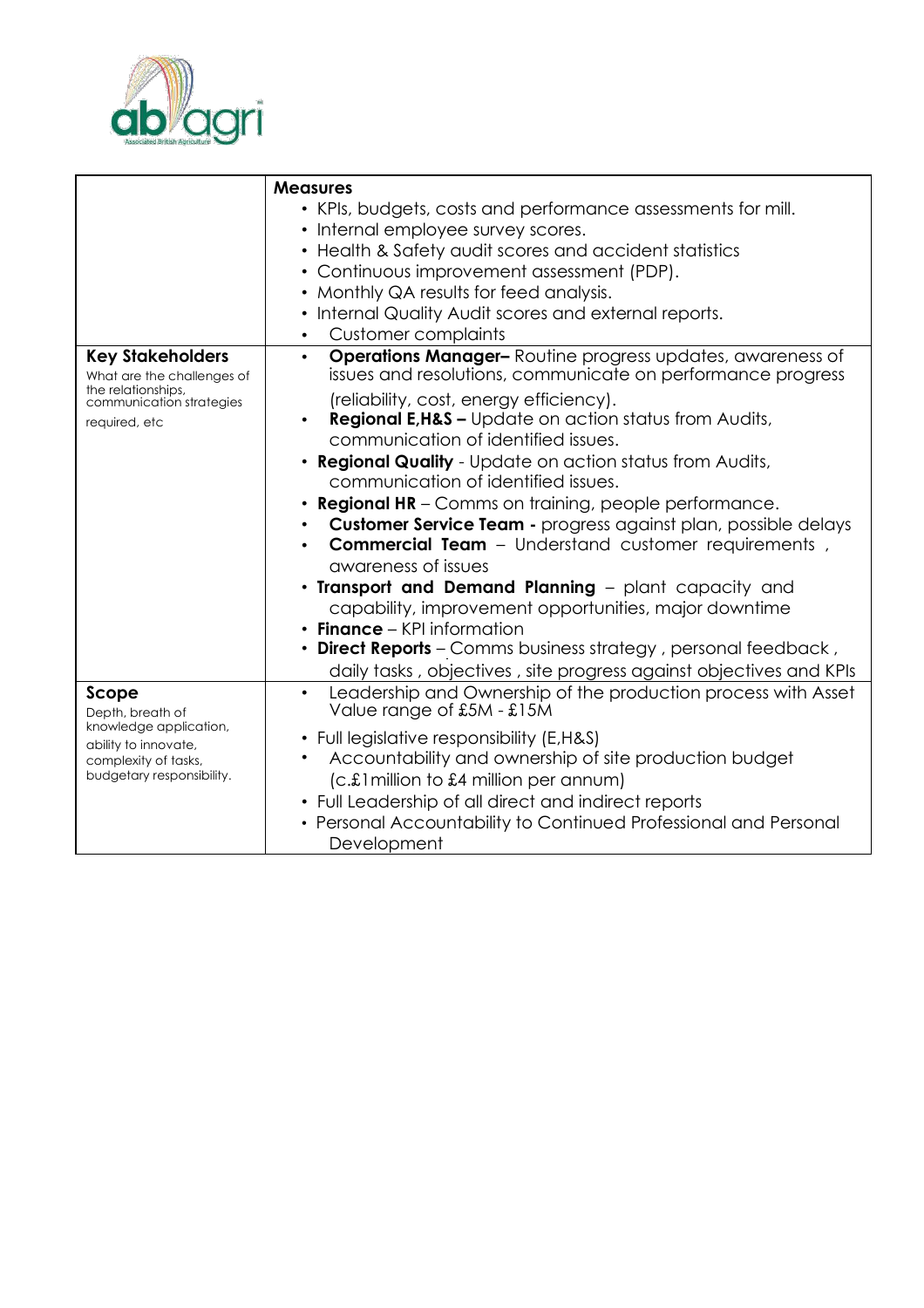

|                                                                                                                          | <b>Measures</b><br>• KPIs, budgets, costs and performance assessments for mill.                                                                                                                                                                                                                                                                                                                                                                                                                                                                                                                                                                                                                                                                                                                                                                                |
|--------------------------------------------------------------------------------------------------------------------------|----------------------------------------------------------------------------------------------------------------------------------------------------------------------------------------------------------------------------------------------------------------------------------------------------------------------------------------------------------------------------------------------------------------------------------------------------------------------------------------------------------------------------------------------------------------------------------------------------------------------------------------------------------------------------------------------------------------------------------------------------------------------------------------------------------------------------------------------------------------|
|                                                                                                                          | • Internal employee survey scores.<br>• Health & Safety audit scores and accident statistics<br>• Continuous improvement assessment (PDP).<br>• Monthly QA results for feed analysis.<br>• Internal Quality Audit scores and external reports.                                                                                                                                                                                                                                                                                                                                                                                                                                                                                                                                                                                                                 |
|                                                                                                                          | <b>Customer complaints</b>                                                                                                                                                                                                                                                                                                                                                                                                                                                                                                                                                                                                                                                                                                                                                                                                                                     |
| <b>Key Stakeholders</b><br>What are the challenges of<br>the relationships,<br>communication strategies<br>required, etc | <b>Operations Manager-</b> Routine progress updates, awareness of<br>$\bullet$<br>issues and resolutions, communicate on performance progress<br>(reliability, cost, energy efficiency).<br><b>Regional E, H&amp;S - Update on action status from Audits,</b><br>communication of identified issues.<br>• Regional Quality - Update on action status from Audits,<br>communication of identified issues.<br>• Regional HR - Comms on training, people performance.<br><b>Customer Service Team - progress against plan, possible delays</b><br>$\bullet$<br>Commercial Team - Understand customer requirements,<br>awareness of issues<br>. Transport and Demand Planning - plant capacity and<br>capability, improvement opportunities, major downtime<br>$\cdot$ Finance – KPI information<br>• Direct Reports - Comms business strategy, personal feedback, |
| Scope                                                                                                                    | daily tasks, objectives, site progress against objectives and KPIs<br>Leadership and Ownership of the production process with Asset<br>$\bullet$                                                                                                                                                                                                                                                                                                                                                                                                                                                                                                                                                                                                                                                                                                               |
| Depth, breath of<br>knowledge application,<br>ability to innovate,<br>complexity of tasks,<br>budgetary responsibility.  | Value range of £5M - £15M<br>• Full legislative responsibility (E,H&S)<br>Accountability and ownership of site production budget<br>(c.£1 million to £4 million per annum)<br>• Full Leadership of all direct and indirect reports<br>• Personal Accountability to Continued Professional and Personal<br>Development                                                                                                                                                                                                                                                                                                                                                                                                                                                                                                                                          |